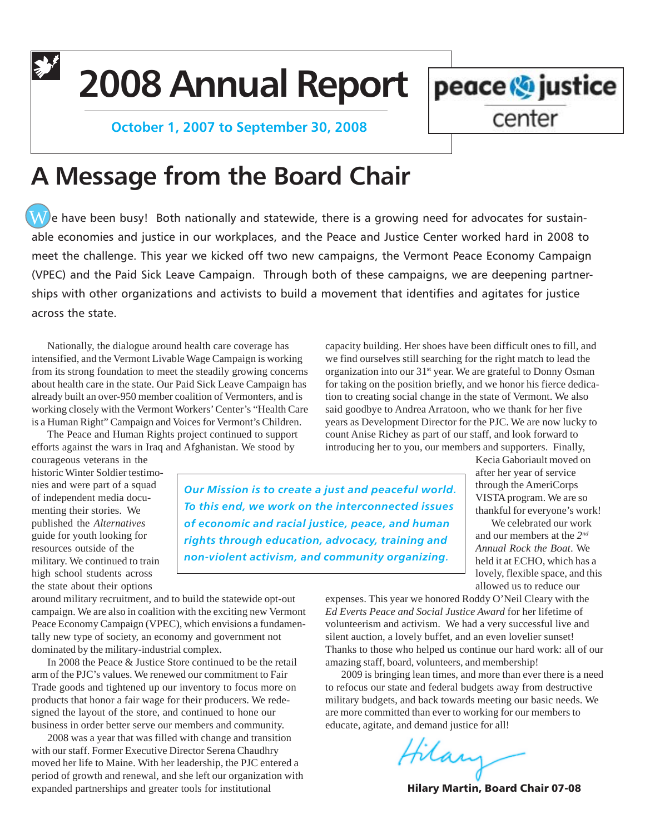**2008 Annual Report**

 **October 1, 2007 to September 30, 2008**



# **A Message from the Board Chair**

 $\widehat{\textbf{W}}$  e have been busy! Both nationally and statewide, there is a growing need for advocates for sustainable economies and justice in our workplaces, and the Peace and Justice Center worked hard in 2008 to meet the challenge. This year we kicked off two new campaigns, the Vermont Peace Economy Campaign (VPEC) and the Paid Sick Leave Campaign. Through both of these campaigns, we are deepening partnerships with other organizations and activists to build a movement that identifies and agitates for justice across the state.

Nationally, the dialogue around health care coverage has intensified, and the Vermont Livable Wage Campaign is working from its strong foundation to meet the steadily growing concerns about health care in the state. Our Paid Sick Leave Campaign has already built an over-950 member coalition of Vermonters, and is working closely with the Vermont Workers' Center's "Health Care is a Human Right" Campaign and Voices for Vermont's Children.

The Peace and Human Rights project continued to support efforts against the wars in Iraq and Afghanistan. We stood by

courageous veterans in the historic Winter Soldier testimonies and were part of a squad of independent media documenting their stories. We published the *Alternatives* guide for youth looking for resources outside of the military. We continued to train high school students across the state about their options

*Our Mission is to create a just and peaceful world. To this end, we work on the interconnected issues of economic and racial justice, peace, and human rights through education, advocacy, training and non-violent activism, and community organizing.*

around military recruitment, and to build the statewide opt-out campaign. We are also in coalition with the exciting new Vermont Peace Economy Campaign (VPEC), which envisions a fundamentally new type of society, an economy and government not dominated by the military-industrial complex.

In 2008 the Peace & Justice Store continued to be the retail arm of the PJC's values. We renewed our commitment to Fair Trade goods and tightened up our inventory to focus more on products that honor a fair wage for their producers. We redesigned the layout of the store, and continued to hone our business in order better serve our members and community.

2008 was a year that was filled with change and transition with our staff. Former Executive Director Serena Chaudhry moved her life to Maine. With her leadership, the PJC entered a period of growth and renewal, and she left our organization with expanded partnerships and greater tools for institutional

capacity building. Her shoes have been difficult ones to fill, and we find ourselves still searching for the right match to lead the organization into our 31<sup>st</sup> year. We are grateful to Donny Osman for taking on the position briefly, and we honor his fierce dedication to creating social change in the state of Vermont. We also said goodbye to Andrea Arratoon, who we thank for her five years as Development Director for the PJC. We are now lucky to count Anise Richey as part of our staff, and look forward to introducing her to you, our members and supporters. Finally,

Kecia Gaboriault moved on after her year of service through the AmeriCorps VISTA program. We are so thankful for everyone's work!

We celebrated our work and our members at the *2nd Annual Rock the Boat*. We held it at ECHO, which has a lovely, flexible space, and this allowed us to reduce our

expenses. This year we honored Roddy O'Neil Cleary with the *Ed Everts Peace and Social Justice Award* for her lifetime of volunteerism and activism. We had a very successful live and silent auction, a lovely buffet, and an even lovelier sunset! Thanks to those who helped us continue our hard work: all of our amazing staff, board, volunteers, and membership!

2009 is bringing lean times, and more than ever there is a need to refocus our state and federal budgets away from destructive military budgets, and back towards meeting our basic needs. We are more committed than ever to working for our members to educate, agitate, and demand justice for all!

Hilan

Hilary Martin, Board Chair 07-08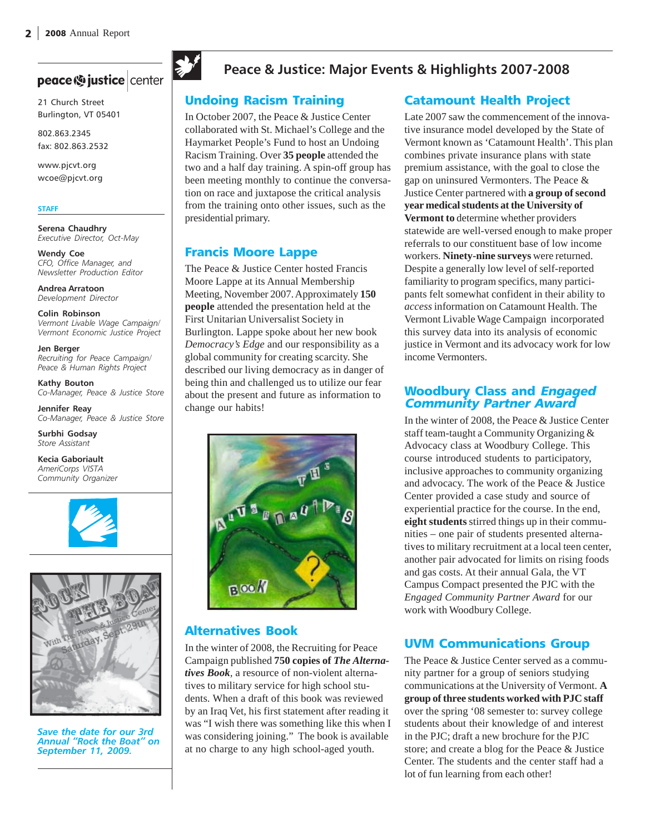# peace (9 justice center

21 Church Street Burlington, VT 05401

802.863.2345 fax: 802.863.2532

www.pjcvt.org wcoe@pjcvt.org

#### **STAFF**

**Serena Chaudhry** *Executive Director, Oct-May*

**Wendy Coe** *CFO, Office Manager, and Newsletter Production Editor*

**Andrea Arratoon** *Development Director*

**Colin Robinson** *Vermont Livable Wage Campaign/ Vermont Economic Justice Project*

**Jen Berger** *Recruiting for Peace Campaign/ Peace & Human Rights Project*

**Kathy Bouton** *Co-Manager, Peace & Justice Store*

**Jennifer Reay** *Co-Manager, Peace & Justice Store*

**Surbhi Godsay** *Store Assistant*

**Kecia Gaboriault** *AmeriCorps VISTA Community Organizer*





*Save the date for our 3rd Annual "Rock the Boat" on September 11, 2009.*



## **Peace & Justice: Major Events & Highlights 2007-2008**

#### Undoing Racism Training

In October 2007, the Peace & Justice Center collaborated with St. Michael's College and the Haymarket People's Fund to host an Undoing Racism Training. Over **35 people** attended the two and a half day training. A spin-off group has been meeting monthly to continue the conversation on race and juxtapose the critical analysis from the training onto other issues, such as the presidential primary.

#### Francis Moore Lappe

The Peace & Justice Center hosted Francis Moore Lappe at its Annual Membership Meeting, November 2007. Approximately **150 people** attended the presentation held at the First Unitarian Universalist Society in Burlington. Lappe spoke about her new book *Democracy's Edge* and our responsibility as a global community for creating scarcity. She described our living democracy as in danger of being thin and challenged us to utilize our fear about the present and future as information to change our habits!



#### Alternatives Book

In the winter of 2008, the Recruiting for Peace Campaign published **750 copies of** *The Alternatives Book,* a resource of non-violent alternatives to military service for high school students. When a draft of this book was reviewed by an Iraq Vet, his first statement after reading it was "I wish there was something like this when I was considering joining." The book is available at no charge to any high school-aged youth.

#### Catamount Health Project

Late 2007 saw the commencement of the innovative insurance model developed by the State of Vermont known as 'Catamount Health'. This plan combines private insurance plans with state premium assistance, with the goal to close the gap on uninsured Vermonters. The Peace & Justice Center partnered with **a group of second year medical students at the University of Vermont to** determine whether providers statewide are well-versed enough to make proper referrals to our constituent base of low income workers. **Ninety-nine surveys** were returned. Despite a generally low level of self-reported familiarity to program specifics, many participants felt somewhat confident in their ability to *access* information on Catamount Health. The Vermont Livable Wage Campaign incorporated this survey data into its analysis of economic justice in Vermont and its advocacy work for low income Vermonters.

#### Woodbury Class and Engaged Community Partner Award

In the winter of 2008, the Peace & Justice Center staff team-taught a Community Organizing & Advocacy class at Woodbury College. This course introduced students to participatory, inclusive approaches to community organizing and advocacy. The work of the Peace & Justice Center provided a case study and source of experiential practice for the course. In the end, **eight students** stirred things up in their communities – one pair of students presented alternatives to military recruitment at a local teen center, another pair advocated for limits on rising foods and gas costs. At their annual Gala, the VT Campus Compact presented the PJC with the *Engaged Community Partner Award* for our work with Woodbury College.

#### UVM Communications Group

The Peace & Justice Center served as a community partner for a group of seniors studying communications at the University of Vermont. **A group of three students worked with PJC staff** over the spring '08 semester to: survey college students about their knowledge of and interest in the PJC; draft a new brochure for the PJC store; and create a blog for the Peace & Justice Center. The students and the center staff had a lot of fun learning from each other!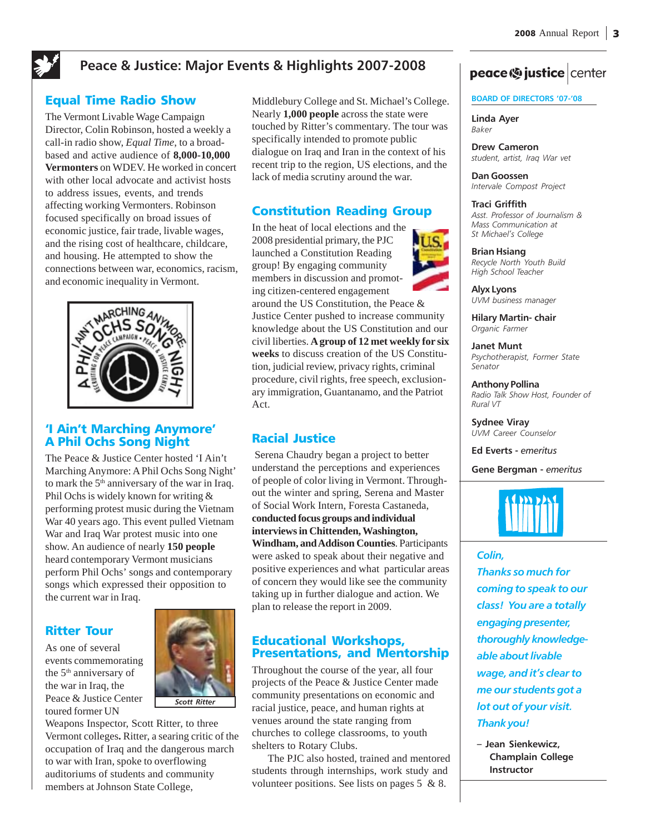## **Peace & Justice: Major Events & Highlights 2007-2008**

#### Equal Time Radio Show

The Vermont Livable Wage Campaign Director, Colin Robinson, hosted a weekly a call-in radio show, *Equal Time*, to a broadbased and active audience of **8,000-10,000 Vermonters** on WDEV. He worked in concert with other local advocate and activist hosts to address issues, events, and trends affecting working Vermonters. Robinson focused specifically on broad issues of economic justice, fair trade, livable wages, and the rising cost of healthcare, childcare, and housing. He attempted to show the connections between war, economics, racism, and economic inequality in Vermont.



#### 'I Ain't Marching Anymore' A Phil Ochs Song Night

The Peace & Justice Center hosted 'I Ain't Marching Anymore: A Phil Ochs Song Night' to mark the  $5<sup>th</sup>$  anniversary of the war in Iraq. Phil Ochs is widely known for writing & performing protest music during the Vietnam War 40 years ago. This event pulled Vietnam War and Iraq War protest music into one show. An audience of nearly **150 people** heard contemporary Vermont musicians perform Phil Ochs' songs and contemporary songs which expressed their opposition to the current war in Iraq.

Ritter Tour

As one of several events commemorating the 5<sup>th</sup> anniversary of the war in Iraq, the Peace & Justice Center toured former UN



Weapons Inspector, Scott Ritter, to three Vermont colleges**.** Ritter, a searing critic of the occupation of Iraq and the dangerous march to war with Iran, spoke to overflowing auditoriums of students and community members at Johnson State College,

Middlebury College and St. Michael's College. Nearly **1,000 people** across the state were touched by Ritter's commentary. The tour was specifically intended to promote public dialogue on Iraq and Iran in the context of his recent trip to the region, US elections, and the lack of media scrutiny around the war.

#### Constitution Reading Group

In the heat of local elections and the 2008 presidential primary, the PJC launched a Constitution Reading group! By engaging community members in discussion and promoting citizen-centered engagement around the US Constitution, the Peace & Justice Center pushed to increase community knowledge about the US Constitution and our civil liberties. **A group of 12 met weekly for six weeks** to discuss creation of the US Constitution, judicial review, privacy rights, criminal procedure, civil rights, free speech, exclusionary immigration, Guantanamo, and the Patriot Act.

### Racial Justice

 Serena Chaudry began a project to better understand the perceptions and experiences of people of color living in Vermont. Throughout the winter and spring, Serena and Master of Social Work Intern, Foresta Castaneda, **conducted focus groups and individual interviews in Chittenden, Washington, Windham, and Addison Counties**. Participants were asked to speak about their negative and positive experiences and what particular areas of concern they would like see the community taking up in further dialogue and action. We plan to release the report in 2009.

#### Educational Workshops, Presentations, and Mentorship

Throughout the course of the year, all four projects of the Peace & Justice Center made community presentations on economic and racial justice, peace, and human rights at venues around the state ranging from churches to college classrooms, to youth shelters to Rotary Clubs.

The PJC also hosted, trained and mentored students through internships, work study and volunteer positions. See lists on pages 5 & 8.

# peace <a>b</a> justice | center

#### **BOARD OF DIRECTORS '07-'08**

**Linda Ayer** *Baker*

**Drew Cameron** *student, artist, Iraq War vet*

**Dan Goossen** *Intervale Compost Project*

#### **Traci Griffith**

*Asst. Professor of Journalism & Mass Communication at St Michael's College*

**Brian Hsiang**

*Recycle North Youth Build High School Teacher*

**Alyx Lyons** *UVM business manager*

**Hilary Martin- chair** *Organic Farmer*

**Janet Munt** *Psychotherapist, Former State Senator*

**Anthony Pollina** *Radio Talk Show Host, Founder of Rural VT*

**Sydnee Viray** *UVM Career Counselor*

**Ed Everts -** *emeritus*

**Gene Bergman -** *emeritus*



#### *Colin,*

*Thanks so much for coming to speak to our class! You are a totally engaging presenter, thoroughly knowledgeable about livable wage, and it's clear to me our students got a lot out of your visit. Thank you!*

**– Jean Sienkewicz, Champlain College Instructor**

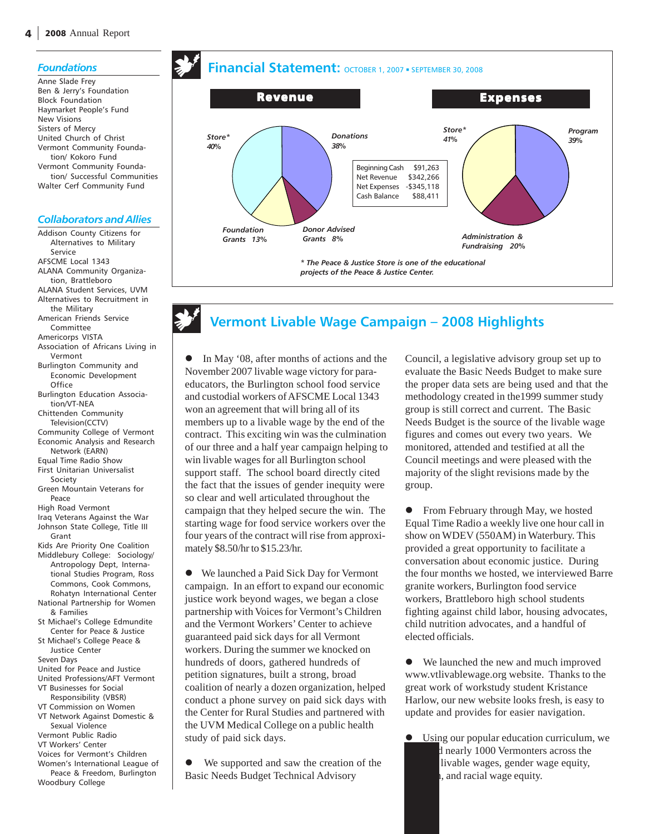#### *Foundations*

Anne Slade Frey Ben & Jerry's Foundation Block Foundation Haymarket People's Fund New Visions Sisters of Mercy United Church of Christ Vermont Community Foundation/ Kokoro Fund Vermont Community Foundation/ Successful Communities Walter Cerf Community Fund

#### *Collaborators and Allies*

Addison County Citizens for Alternatives to Military Service AFSCME Local 1343 ALANA Community Organization, Brattleboro ALANA Student Services, UVM Alternatives to Recruitment in the Military American Friends Service Committee Americorps VISTA Association of Africans Living in Vermont Burlington Community and Economic Development **Office** Burlington Education Association/VT-NEA Chittenden Community Television(CCTV) Community College of Vermont Economic Analysis and Research Network (EARN) Equal Time Radio Show First Unitarian Universalist Society Green Mountain Veterans for Peace High Road Vermont Iraq Veterans Against the War Johnson State College, Title III Grant Kids Are Priority One Coalition Middlebury College: Sociology/ Antropology Dept, International Studies Program, Ross Commons, Cook Commons, Rohatyn International Center National Partnership for Women & Families St Michael's College Edmundite Center for Peace & Justice St Michael's College Peace & Justice Center Seven Days United for Peace and Justice United Professions/AFT Vermont VT Businesses for Social Responsibility (VBSR) VT Commission on Women VT Network Against Domestic & Sexual Violence Vermont Public Radio VT Workers' Center Voices for Vermont's Children Women's International League of Peace & Freedom, Burlington Woodbury College



# **Vermont Livable Wage Campaign – 2008 Highlights**

In May '08, after months of actions and the November 2007 livable wage victory for paraeducators, the Burlington school food service and custodial workers of AFSCME Local 1343 won an agreement that will bring all of its members up to a livable wage by the end of the contract. This exciting win was the culmination of our three and a half year campaign helping to win livable wages for all Burlington school support staff. The school board directly cited the fact that the issues of gender inequity were so clear and well articulated throughout the campaign that they helped secure the win. The starting wage for food service workers over the four years of the contract will rise from approximately \$8.50/hr to \$15.23/hr.

We launched a Paid Sick Day for Vermont campaign. In an effort to expand our economic justice work beyond wages, we began a close partnership with Voices for Vermont's Children and the Vermont Workers' Center to achieve guaranteed paid sick days for all Vermont workers. During the summer we knocked on hundreds of doors, gathered hundreds of petition signatures, built a strong, broad coalition of nearly a dozen organization, helped conduct a phone survey on paid sick days with the Center for Rural Studies and partnered with the UVM Medical College on a public health study of paid sick days.

We supported and saw the creation of the Basic Needs Budget Technical Advisory

Council, a legislative advisory group set up to evaluate the Basic Needs Budget to make sure the proper data sets are being used and that the methodology created in the1999 summer study group is still correct and current. The Basic Needs Budget is the source of the livable wage figures and comes out every two years. We monitored, attended and testified at all the Council meetings and were pleased with the majority of the slight revisions made by the group.

From February through May, we hosted Equal Time Radio a weekly live one hour call in show on WDEV (550AM) in Waterbury. This provided a great opportunity to facilitate a conversation about economic justice. During the four months we hosted, we interviewed Barre granite workers, Burlington food service workers, Brattleboro high school students fighting against child labor, housing advocates, child nutrition advocates, and a handful of elected officials.

• We launched the new and much improved www.vtlivablewage.org website. Thanks to the great work of workstudy student Kristance Harlow, our new website looks fresh, is easy to update and provides for easier navigation.

Using our popular education curriculum, we d nearly 1000 Vermonters across the livable wages, gender wage equity, , and racial wage equity.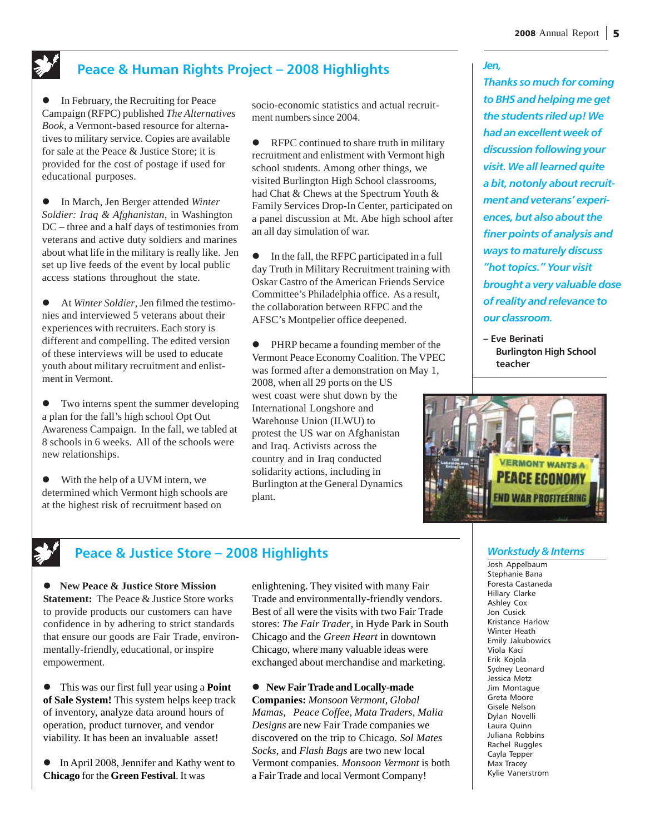*Jen,*

## **Peace & Human Rights Project – 2008 Highlights**

• In February, the Recruiting for Peace Campaign (RFPC) published *The Alternatives Book*, a Vermont-based resource for alternatives to military service. Copies are available for sale at the Peace & Justice Store; it is provided for the cost of postage if used for educational purposes.

In March, Jen Berger attended Winter *Soldier: Iraq & Afghanistan*, in Washington DC – three and a half days of testimonies from veterans and active duty soldiers and marines about what life in the military is really like. Jen set up live feeds of the event by local public access stations throughout the state.

At *Winter Soldier*, Jen filmed the testimonies and interviewed 5 veterans about their experiences with recruiters. Each story is different and compelling. The edited version of these interviews will be used to educate youth about military recruitment and enlistment in Vermont.

 $\bullet$  Two interns spent the summer developing a plan for the fall's high school Opt Out Awareness Campaign. In the fall, we tabled at 8 schools in 6 weeks. All of the schools were new relationships.

• With the help of a UVM intern, we determined which Vermont high schools are at the highest risk of recruitment based on

socio-economic statistics and actual recruitment numbers since 2004.

• RFPC continued to share truth in military recruitment and enlistment with Vermont high school students. Among other things, we visited Burlington High School classrooms, had Chat & Chews at the Spectrum Youth & Family Services Drop-In Center, participated on a panel discussion at Mt. Abe high school after an all day simulation of war.

 $\bullet$  In the fall, the RFPC participated in a full day Truth in Military Recruitment training with Oskar Castro of the American Friends Service Committee's Philadelphia office. As a result, the collaboration between RFPC and the AFSC's Montpelier office deepened.

• PHRP became a founding member of the Vermont Peace Economy Coalition. The VPEC was formed after a demonstration on May 1, 2008, when all 29 ports on the US west coast were shut down by the International Longshore and Warehouse Union (ILWU) to protest the US war on Afghanistan and Iraq. Activists across the country and in Iraq conducted solidarity actions, including in Burlington at the General Dynamics plant.

*Thanks so much for coming to BHS and helping me get the students riled up! We had an excellent week of discussion following your visit. We all learned quite a bit, notonly about recruitment and veterans' experiences, but also about the finer points of analysis and ways to maturely discuss "hot topics." Your visit brought a very valuable dose of reality and relevance to our classroom.*

**– Eve Berinati Burlington High School teacher**



### **Peace & Justice Store – 2008 Highlights**

**• New Peace & Justice Store Mission Statement:** The Peace & Justice Store works to provide products our customers can have confidence in by adhering to strict standards that ensure our goods are Fair Trade, environmentally-friendly, educational, or inspire empowerment.

z This was our first full year using a **Point of Sale System!** This system helps keep track of inventory, analyze data around hours of operation, product turnover, and vendor viability. It has been an invaluable asset!

• In April 2008, Jennifer and Kathy went to **Chicago** for the **Green Festival**. It was

enlightening. They visited with many Fair Trade and environmentally-friendly vendors. Best of all were the visits with two Fair Trade stores: *The Fair Trader*, in Hyde Park in South Chicago and the *Green Heart* in downtown Chicago, where many valuable ideas were exchanged about merchandise and marketing.

z **New Fair Trade and Locally-made Companies:** *Monsoon Vermont, Global Mamas, Peace Coffee, Mata Traders, Malia Designs* are new Fair Trade companies we discovered on the trip to Chicago. *Sol Mates Socks*, and *Flash Bags* are two new local Vermont companies. *Monsoon Vermont* is both a Fair Trade and local Vermont Company!

#### *Workstudy & Interns*

Josh Appelbaum Stephanie Bana Foresta Castaneda Hillary Clarke Ashley Cox Jon Cusick Kristance Harlow Winter Heath Emily Jakubowics Viola Kaci Erik Kojola Sydney Leonard Jessica Metz Jim Montague Greta Moore Gisele Nelson Dylan Novelli Laura Quinn Juliana Robbins Rachel Ruggles Cayla Tepper Max Tracey Kylie Vanerstrom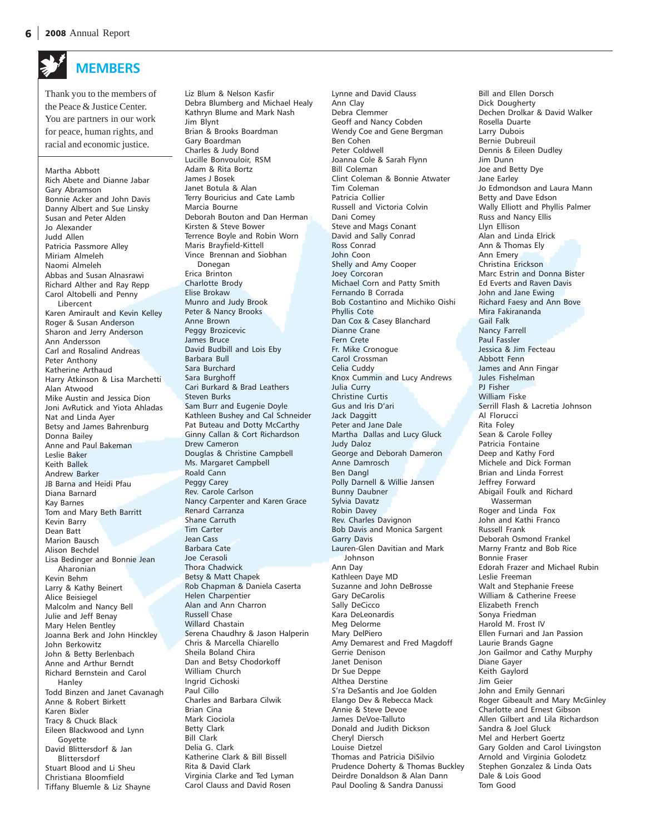Thank you to the members of the Peace & Justice Center. You are partners in our work for peace, human rights, and racial and economic justice.

**MEMBERS**

#### Martha Abbott Rich Abete and Dianne Jabar Gary Abramson Bonnie Acker and John Davis Danny Albert and Sue Linsky Susan and Peter Alden Jo Alexander Judd Allen Patricia Passmore Alley Miriam Almeleh Naomi Almeleh Abbas and Susan Alnasrawi Richard Alther and Ray Repp Carol Altobelli and Penny Libercent Karen Amirault and Kevin Kelley Roger & Susan Anderson Sharon and Jerry Anderson Ann Andersson Carl and Rosalind Andreas Peter Anthony Katherine Arthaud Harry Atkinson & Lisa Marchetti Alan Atwood Mike Austin and Jessica Dion Joni AvRutick and Yiota Ahladas Nat and Linda Ayer Betsy and James Bahrenburg Donna Bailey Anne and Paul Bakeman Leslie Baker Keith Ballek Andrew Barker JB Barna and Heidi Pfau Diana Barnard Kay Barnes Tom and Mary Beth Barritt Kevin Barry Dean Batt Marion Bausch Alison Bechdel Lisa Bedinger and Bonnie Jean Aharonian Kevin Behm Larry & Kathy Beinert Alice Beisiegel Malcolm and Nancy Bell Julie and Jeff Benay Mary Helen Bentley Joanna Berk and John Hinckley John Berkowitz John & Betty Berlenbach Anne and Arthur Berndt Richard Bernstein and Carol Hanley Todd Binzen and Janet Cavanagh Anne & Robert Birkett Karen Bixler Tracy & Chuck Black Eileen Blackwood and Lynn Goyette David Blittersdorf & Jan Blittersdorf Stuart Blood and Li Sheu Christiana Bloomfield

Tiffany Bluemle & Liz Shayne

Liz Blum & Nelson Kasfir Debra Blumberg and Michael Healy Kathryn Blume and Mark Nash Jim Blynt Brian & Brooks Boardman Gary Boardman Charles & Judy Bond Lucille Bonvouloir, RSM Adam & Rita Bortz James J Bosek Janet Botula & Alan Terry Bouricius and Cate Lamb Marcia Bourne Deborah Bouton and Dan Herman Kirsten & Steve Bower Terrence Boyle and Robin Worn Maris Brayfield-Kittell Vince Brennan and Siobhan Donegan Erica Brinton Charlotte Brody Elise Brokaw Munro and Judy Brook Peter & Nancy Brooks Anne Brown Peggy Brozicevic James Bruce David Budbill and Lois Eby Barbara Bull Sara Burchard Sara Burghoff Cari Burkard & Brad Leathers Steven Burks Sam Burr and Eugenie Doyle Kathleen Bushey and Cal Schneider Pat Buteau and Dotty McCarthy Ginny Callan & Cort Richardson Drew Cameron Douglas & Christine Campbell Ms. Margaret Campbell Roald Cann Peggy Carey Rev. Carole Carlson Nancy Carpenter and Karen Grace Renard Carranza Shane Carruth Tim Carter Jean Cass Barbara Cate Joe Cerasoli Thora Chadwick Betsy & Matt Chapek Rob Chapman & Daniela Caserta Helen Charpentier Alan and Ann Charron Russell Chase Willard Chastain Serena Chaudhry & Jason Halperin Chris & Marcella Chiarello Sheila Boland Chira Dan and Betsy Chodorkoff William Church Ingrid Cichoski Paul Cillo Charles and Barbara Cilwik Brian Cina Mark Ciociola Betty Clark Bill Clark Delia G. Clark Katherine Clark & Bill Bissell Rita & David Clark Virginia Clarke and Ted Lyman

Carol Clauss and David Rosen

Lynne and David Clauss Ann Clay Debra Clemmer Geoff and Nancy Cobden Wendy Coe and Gene Bergman Ben Cohen Peter Coldwell Joanna Cole & Sarah Flynn Bill Coleman Clint Coleman & Bonnie Atwater Tim Coleman Patricia Collier Russell and Victoria Colvin Dani Comey Steve and Mags Conant David and Sally Conrad Ross Conrad John Coon Shelly and Amy Cooper Joey Corcoran Michael Corn and Patty Smith Fernando B Corrada Bob Costantino and Michiko Oishi Phyllis Cote Dan Cox & Casey Blanchard Dianne Crane Fern Crete Fr. Mike Cronogue Carol Crossman Celia Cuddy Knox Cummin and Lucy Andrews Julia Curry Christine Curtis Gus and Iris D'ari Jack Daggitt Peter and Jane Dale Martha Dallas and Lucy Gluck Judy Daloz George and Deborah Dameron Anne Damrosch Ben Dangl Polly Darnell & Willie Jansen Bunny Daubner Sylvia Davatz Robin Davey Rev. Charles Davignon Bob Davis and Monica Sargent Garry Davis Lauren-Glen Davitian and Mark Johnson Ann Day Kathleen Daye MD Suzanne and John DeBrosse Gary DeCarolis Sally DeCicco Kara DeLeonardis Meg Delorme Mary DelPiero Amy Demarest and Fred Magdoff Gerrie Denison Janet Denison Dr Sue Deppe Althea Derstine S'ra DeSantis and Joe Golden Elango Dev & Rebecca Mack Annie & Steve Devoe James DeVoe-Talluto Donald and Judith Dickson Cheryl Diersch Louise Dietzel Thomas and Patricia DiSilvio Prudence Doherty & Thomas Buckley Deirdre Donaldson & Alan Dann Paul Dooling & Sandra Danussi

Bill and Ellen Dorsch Dick Dougherty Dechen Drolkar & David Walker Rosella Duarte Larry Dubois Bernie Dubreuil Dennis & Eileen Dudley Jim Dunn Joe and Betty Dye Jane Earley Jo Edmondson and Laura Mann Betty and Dave Edson Wally Elliott and Phyllis Palmer Russ and Nancy Ellis Llyn Ellison Alan and Linda Elrick Ann & Thomas Ely Ann Emery Christina Erickson Marc Estrin and Donna Bister Ed Everts and Raven Davis John and Jane Ewing Richard Faesy and Ann Bove Mira Fakirananda Gail Falk Nancy Farrell Paul Fassler Jessica & Jim Fecteau Abbott Fenn James and Ann Fingar Jules Fishelman PJ Fisher William Fiske Serrill Flash & Lacretia Johnson Al Florucci Rita Foley Sean & Carole Folley Patricia Fontaine Deep and Kathy Ford Michele and Dick Forman Brian and Linda Forrest Jeffrey Forward Abigail Foulk and Richard Wasserman Roger and Linda Fox John and Kathi Franco Russell Frank Deborah Osmond Frankel Marny Frantz and Bob Rice Bonnie Fraser Edorah Frazer and Michael Rubin Leslie Freeman Walt and Stephanie Freese William & Catherine Freese Elizabeth French Sonya Friedman Harold M. Frost IV Ellen Furnari and Jan Passion Laurie Brands Gagne Jon Gailmor and Cathy Murphy Diane Gayer Keith Gaylord Jim Geier John and Emily Gennari Roger Gibeault and Mary McGinley Charlotte and Ernest Gibson Allen Gilbert and Lila Richardson Sandra & Joel Gluck Mel and Herbert Goertz Gary Golden and Carol Livingston Arnold and Virginia Golodetz Stephen Gonzalez & Linda Oats Dale & Lois Good

Tom Good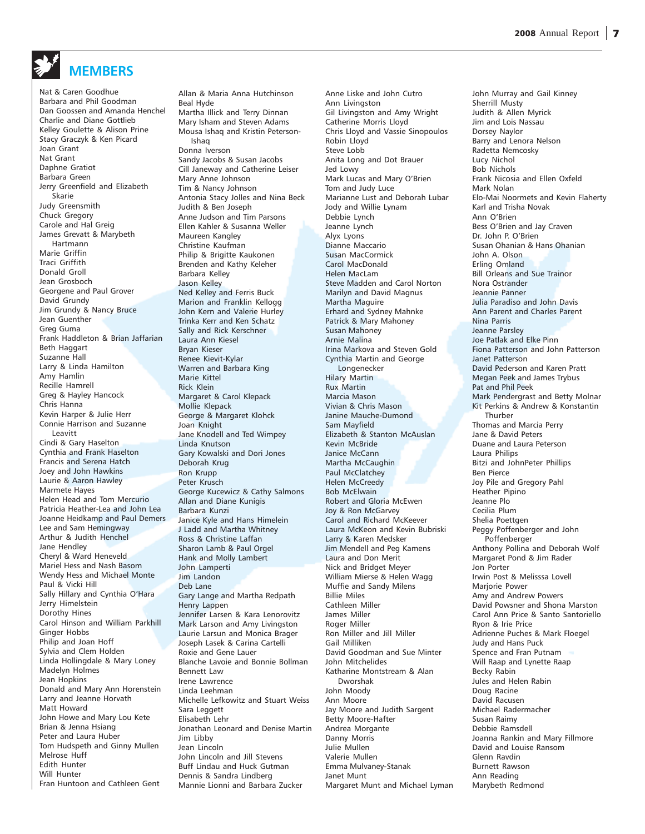# **MEMBERS**

Nat & Caren Goodhue Barbara and Phil Goodman Dan Goossen and Amanda Henchel Charlie and Diane Gottlieb Kelley Goulette & Alison Prine Stacy Graczyk & Ken Picard Joan Grant Nat Grant Daphne Gratiot Barbara Green Jerry Greenfield and Elizabeth Skarie Judy Greensmith Chuck Gregory Carole and Hal Greig James Grevatt & Marybeth Hartmann Marie Griffin Traci Griffith Donald Groll Jean Grosboch Georgene and Paul Grover David Grundy Jim Grundy & Nancy Bruce Jean Guenther Greg Guma Frank Haddleton & Brian Jaffarian Beth Haggart Suzanne Hall Larry & Linda Hamilton Amy Hamlin Recille Hamrell Greg & Hayley Hancock Chris Hanna Kevin Harper & Julie Herr Connie Harrison and Suzanne Leavitt Cindi & Gary Haselton Cynthia and Frank Haselton Francis and Serena Hatch Joey and John Hawkins Laurie & Aaron Hawley Marmete Hayes Helen Head and Tom Mercurio Patricia Heather-Lea and John Lea Joanne Heidkamp and Paul Demers Lee and Sam Hemingway Arthur & Judith Henchel Jane Hendley Cheryl & Ward Heneveld Mariel Hess and Nash Basom Wendy Hess and Michael Monte Paul & Vicki Hill Sally Hillary and Cynthia O'Hara Jerry Himelstein Dorothy Hines Carol Hinson and William Parkhill Ginger Hobbs Philip and Joan Hoff Sylvia and Clem Holden Linda Hollingdale & Mary Loney Madelyn Holmes Jean Hopkins Donald and Mary Ann Horenstein Larry and Jeanne Horvath Matt Howard John Howe and Mary Lou Kete Brian & Jenna Hsiang Peter and Laura Huber Tom Hudspeth and Ginny Mullen Melrose Huff Edith Hunter Will Hunter Fran Huntoon and Cathleen Gent

Allan & Maria Anna Hutchinson Beal Hyde Martha Illick and Terry Dinnan Mary Isham and Steven Adams Mousa Ishaq and Kristin Peterson-Ishaq Donna Iverson Sandy Jacobs & Susan Jacobs Cill Janeway and Catherine Leiser Mary Anne Johnson Tim & Nancy Johnson Antonia Stacy Jolles and Nina Beck Judith & Ben Joseph Anne Judson and Tim Parsons Ellen Kahler & Susanna Weller Maureen Kangley Christine Kaufman Philip & Brigitte Kaukonen Brenden and Kathy Keleher Barbara Kelley Jason Kelley Ned Kelley and Ferris Buck Marion and Franklin Kellogg John Kern and Valerie Hurley Trinka Kerr and Ken Schatz Sally and Rick Kerschner Laura Ann Kiesel Bryan Kieser Renee Kievit-Kylar Warren and Barbara King Marie Kittel Rick Klein Margaret & Carol Klepack Mollie Klepack George & Margaret Klohck Joan Knight Jane Knodell and Ted Wimpey Linda Knutson Gary Kowalski and Dori Jones Deborah Krug Ron Krupp Peter Krusch George Kucewicz & Cathy Salmons Allan and Diane Kunigis Barbara Kunzi Janice Kyle and Hans Himelein J Ladd and Martha Whitney Ross & Christine Laffan Sharon Lamb & Paul Orgel Hank and Molly Lambert John Lamperti Jim Landon Deb Lane Gary Lange and Martha Redpath Henry Lappen Jennifer Larsen & Kara Lenorovitz Mark Larson and Amy Livingston Laurie Larsun and Monica Brager Joseph Lasek & Carina Cartelli Roxie and Gene Lauer Blanche Lavoie and Bonnie Bollman Bennett Law Irene Lawrence Linda Leehman Michelle Lefkowitz and Stuart Weiss Sara Leggett Elisabeth Lehr Jonathan Leonard and Denise Martin Jim Libby Jean Lincoln John Lincoln and Jill Stevens Buff Lindau and Huck Gutman Dennis & Sandra Lindberg Mannie Lionni and Barbara Zucker

Anne Liske and John Cutro Ann Livingston Gil Livingston and Amy Wright Catherine Morris Lloyd Chris Lloyd and Vassie Sinopoulos Robin Lloyd Steve Lobb Anita Long and Dot Brauer Jed Lowy Mark Lucas and Mary O'Brien Tom and Judy Luce Marianne Lust and Deborah Lubar Jody and Willie Lynam Debbie Lynch Jeanne Lynch Alyx Lyons Dianne Maccario Susan MacCormick Carol MacDonald Helen MacLam Steve Madden and Carol Norton Marilyn and David Magnus Martha Maguire Erhard and Sydney Mahnke Patrick & Mary Mahoney Susan Mahoney Arnie Malina Irina Markova and Steven Gold Cynthia Martin and George Longenecker Hilary Martin Rux Martin Marcia Mason Vivian & Chris Mason Janine Mauche-Dumond Sam Mayfield Elizabeth & Stanton McAuslan Kevin McBride Janice McCann Martha McCaughin Paul McClatchey Helen McCreedy Bob McElwain Robert and Gloria McEwen Joy & Ron McGarvey Carol and Richard McKeever Laura McKeon and Kevin Bubriski Larry & Karen Medsker Jim Mendell and Peg Kamens Laura and Don Merit Nick and Bridget Meyer William Mierse & Helen Wagg Muffie and Sandy Milens Billie Miles Cathleen Miller James Miller Roger Miller Ron Miller and Jill Miller Gail Milliken David Goodman and Sue Minter John Mitchelides Katharine Montstream & Alan Dworshak John Moody Ann Moore Jay Moore and Judith Sargent Betty Moore-Hafter Andrea Morgante Danny Morris Julie Mullen Valerie Mullen Emma Mulvaney-Stanak Janet Munt Margaret Munt and Michael Lyman

John Murray and Gail Kinney Sherrill Musty Judith & Allen Myrick Jim and Lois Nassau Dorsey Naylor Barry and Lenora Nelson Radetta Nemcosky Lucy Nichol Bob Nichols Frank Nicosia and Ellen Oxfeld Mark Nolan Elo-Mai Noormets and Kevin Flaherty Karl and Trisha Novak Ann O'Brien Bess O'Brien and Jay Craven Dr. John P. O'Brien Susan Ohanian & Hans Ohanian John A. Olson Erling Omland Bill Orleans and Sue Trainor Nora Ostrander Jeannie Panner Julia Paradiso and John Davis Ann Parent and Charles Parent Nina Parris Jeanne Parsley Joe Patlak and Elke Pinn Fiona Patterson and John Patterson Janet Patterson David Pederson and Karen Pratt Megan Peek and James Trybus Pat and Phil Peek Mark Pendergrast and Betty Molnar Kit Perkins & Andrew & Konstantin Thurber Thomas and Marcia Perry Jane & David Peters Duane and Laura Peterson Laura Philips Bitzi and JohnPeter Phillips Ben Pierce Joy Pile and Gregory Pahl Heather Pipino Jeanne Plo Cecilia Plum Shelia Poettgen Peggy Poffenberger and John Poffenberger Anthony Pollina and Deborah Wolf Margaret Pond & Jim Rader Jon Porter Irwin Post & Melisssa Lovell Marjorie Power Amy and Andrew Powers David Powsner and Shona Marston Carol Ann Price & Santo Santoriello Ryon & Irie Price Adrienne Puches & Mark Floegel Judy and Hans Puck Spence and Fran Putnam Will Raap and Lynette Raap Becky Rabin Jules and Helen Rabin Doug Racine David Racusen Michael Radermacher Susan Raimy Debbie Ramsdell Joanna Rankin and Mary Fillmore David and Louise Ransom Glenn Ravdin Burnett Rawson Ann Reading Marybeth Redmond